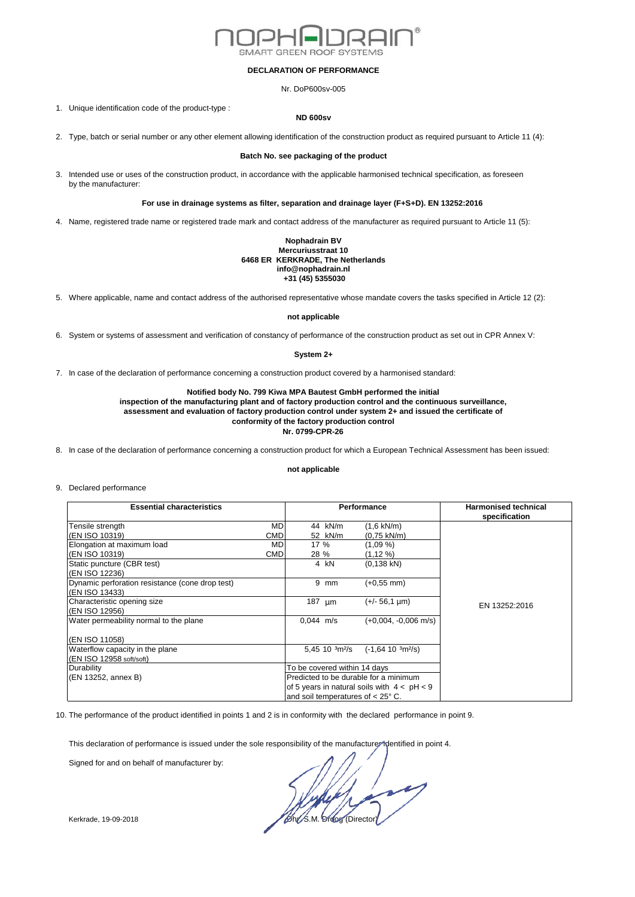

#### **DECLARATION OF PERFORMANCE**

Nr. DoP600sv-005

1. Unique identification code of the product-type :

#### **ND 600sv**

2. Type, batch or serial number or any other element allowing identification of the construction product as required pursuant to Article 11 (4):

## **Batch No. see packaging of the product**

3. Intended use or uses of the construction product, in accordance with the applicable harmonised technical specification, as foreseen by the manufacturer:

# **For use in drainage systems as filter, separation and drainage layer (F+S+D). EN 13252:2016**

4. Name, registered trade name or registered trade mark and contact address of the manufacturer as required pursuant to Article 11 (5):

#### **Nophadrain BV Mercuriusstraat 10 6468 ER KERKRADE, The Netherlands info@nophadrain.nl +31 (45) 5355030**

5. Where applicable, name and contact address of the authorised representative whose mandate covers the tasks specified in Article 12 (2):

### **not applicable**

6. System or systems of assessment and verification of constancy of performance of the construction product as set out in CPR Annex V:

## **System 2+**

7. In case of the declaration of performance concerning a construction product covered by a harmonised standard:

# **Notified body No. 799 Kiwa MPA Bautest GmbH performed the initial**

**inspection of the manufacturing plant and of factory production control and the continuous surveillance, assessment and evaluation of factory production control under system 2+ and issued the certificate of conformity of the factory production control Nr. 0799-CPR-26**

8. In case of the declaration of performance concerning a construction product for which a European Technical Assessment has been issued:

#### **not applicable**

9. Declared performance

| <b>Essential characteristics</b>                |            | <b>Performance</b>                         |                                               | <b>Harmonised technical</b><br>specification |
|-------------------------------------------------|------------|--------------------------------------------|-----------------------------------------------|----------------------------------------------|
| Tensile strength                                | MD         | 44 kN/m                                    | $(1.6 \text{ kN/m})$                          |                                              |
| (EN ISO 10319)                                  | <b>CMD</b> | 52 kN/m                                    | $(0.75 \text{ kN/m})$                         |                                              |
| Elongation at maximum load                      | MD         | 17 %                                       | $(1,09\%)$                                    |                                              |
| (EN ISO 10319)                                  | <b>CMD</b> | 28 %                                       | (1,12 %)                                      |                                              |
| Static puncture (CBR test)                      |            | 4 kN                                       | $(0, 138$ kN)                                 |                                              |
| (EN ISO 12236)                                  |            |                                            |                                               |                                              |
| Dynamic perforation resistance (cone drop test) |            | 9 mm                                       | $(+0.55$ mm)                                  |                                              |
| (EN ISO 13433)                                  |            |                                            |                                               |                                              |
| Characteristic opening size                     |            | 187 $µm$                                   | $(+/- 56.1 \text{ µm})$                       | EN 13252:2016                                |
| (EN ISO 12956)                                  |            |                                            |                                               |                                              |
| Water permeability normal to the plane          |            | $0.044$ m/s                                | $(+0.004, -0.006$ m/s)                        |                                              |
| (EN ISO 11058)                                  |            |                                            |                                               |                                              |
| Waterflow capacity in the plane                 |            | 5,45 10 $\frac{3m^2}{s}$                   | $(-1, 64, 10, 3m^{2}/s)$                      |                                              |
| (EN ISO 12958 soft/soft)                        |            |                                            |                                               |                                              |
| Durability                                      |            | To be covered within 14 days               |                                               |                                              |
| (EN 13252, annex B)                             |            | Predicted to be durable for a minimum      |                                               |                                              |
|                                                 |            |                                            | of 5 years in natural soils with $4 < pH < 9$ |                                              |
|                                                 |            | and soil temperatures of $< 25^{\circ}$ C. |                                               |                                              |

10. The performance of the product identified in points 1 and 2 is in conformity with the declared performance in point 9.

This declaration of performance is issued under the sole responsibility of the manufacturer identified in point 4.

Signed for and on behalf of manufacturer by:

Kerkrade, 19-09-2018 **Director** Control of Control of Control of Director Control of Directors and Directors and Directors and Directors and Directors and Directors and Directors and Directors and Directors and Directors a